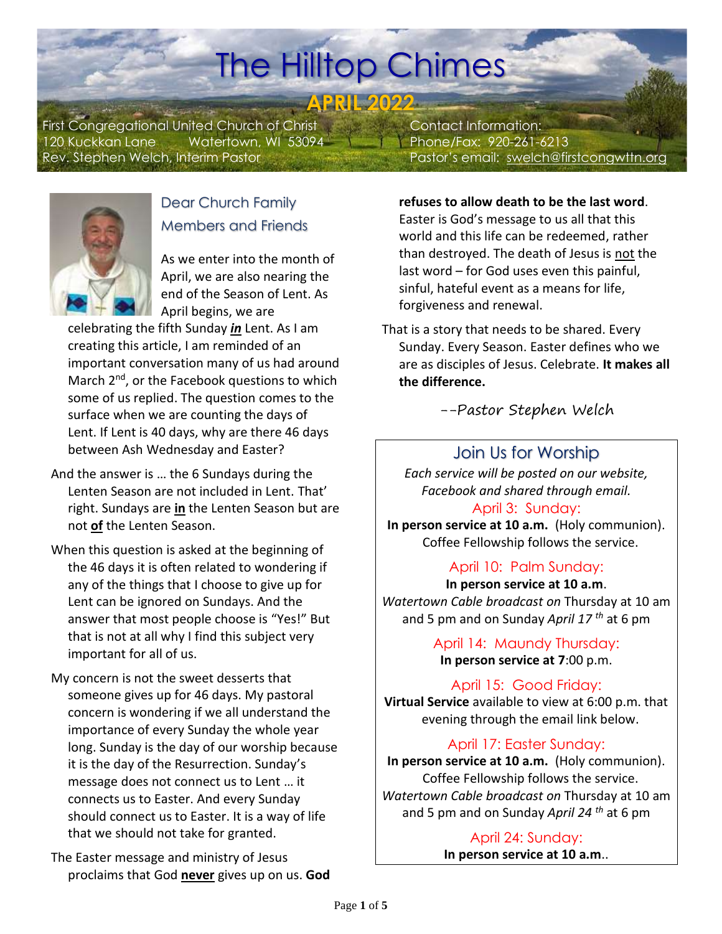# The Hilltop Chimes

**APRIL 2022**

First Congregational United Church of Christ 120 Kuckkan Lane Watertown, WI 53094 Rev. Stephen Welch, Interim Pastor

 Contact Information: Phone/Fax: 920-261-6213 Pastor's email: [swelch@firstcongwttn.org](mailto:swelch@firstcongwttn.org)



### Dear Church Family Members and Friends

As we enter into the month of April, we are also nearing the end of the Season of Lent. As April begins, we are

celebrating the fifth Sunday *in* Lent. As I am creating this article, I am reminded of an important conversation many of us had around March 2<sup>nd</sup>, or the Facebook questions to which some of us replied. The question comes to the surface when we are counting the days of Lent. If Lent is 40 days, why are there 46 days between Ash Wednesday and Easter?

- And the answer is … the 6 Sundays during the Lenten Season are not included in Lent. That' right. Sundays are **in** the Lenten Season but are not **of** the Lenten Season.
- When this question is asked at the beginning of the 46 days it is often related to wondering if any of the things that I choose to give up for Lent can be ignored on Sundays. And the answer that most people choose is "Yes!" But that is not at all why I find this subject very important for all of us.
- My concern is not the sweet desserts that someone gives up for 46 days. My pastoral concern is wondering if we all understand the importance of every Sunday the whole year long. Sunday is the day of our worship because it is the day of the Resurrection. Sunday's message does not connect us to Lent … it connects us to Easter. And every Sunday should connect us to Easter. It is a way of life that we should not take for granted.

The Easter message and ministry of Jesus proclaims that God **never** gives up on us. **God** 

#### **refuses to allow death to be the last word**.

Easter is God's message to us all that this world and this life can be redeemed, rather than destroyed. The death of Jesus is not the last word – for God uses even this painful, sinful, hateful event as a means for life, forgiveness and renewal.

That is a story that needs to be shared. Every Sunday. Every Season. Easter defines who we are as disciples of Jesus. Celebrate. **It makes all the difference.**

--Pastor Stephen Welch

### Join Us for Worship

*Each service will be posted on our website, Facebook and shared through email.*  April 3: Sunday:

**In person service at 10 a.m.** (Holy communion). Coffee Fellowship follows the service.

#### April 10: Palm Sunday:

**In person service at 10 a.m**. *Watertown Cable broadcast on* Thursday at 10 am and 5 pm and on Sunday *April 17 th* at 6 pm

> April 14: Maundy Thursday: **In person service at 7**:00 p.m.

April 15: Good Friday:

**Virtual Service** available to view at 6:00 p.m. that evening through the email link below.

#### April 17: Easter Sunday:

**In person service at 10 a.m.** (Holy communion). Coffee Fellowship follows the service. *Watertown Cable broadcast on* Thursday at 10 am and 5 pm and on Sunday *April 24 th* at 6 pm

> April 24: Sunday: **In person service at 10 a.m**..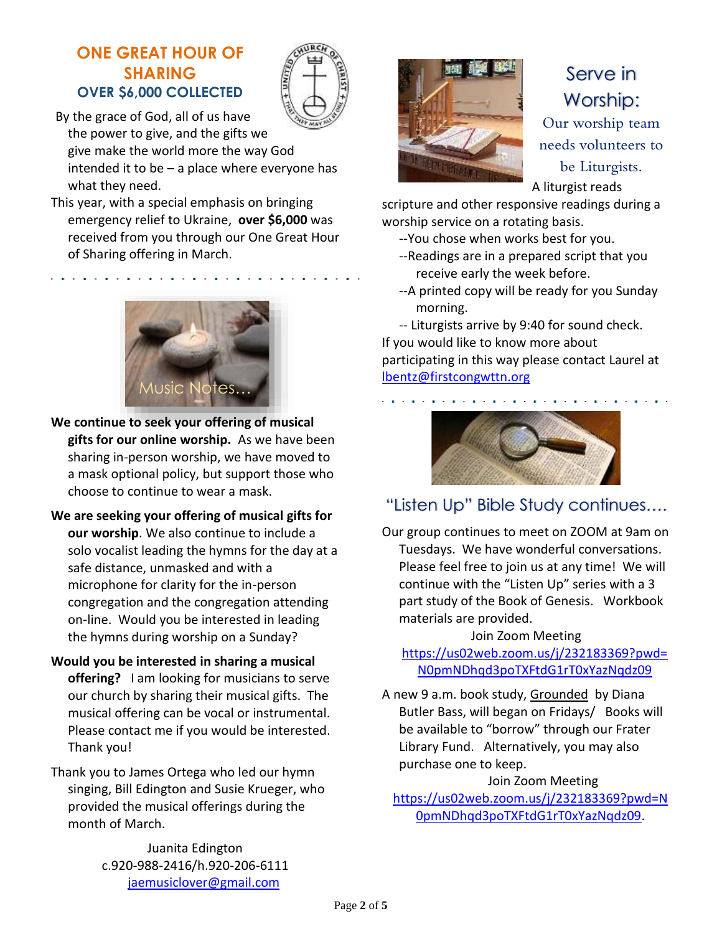#### **ONE GREAT HOUR OF SHARING OVER \$6,000 COLLECTED**



By the grace of God, all of us have the power to give, and the gifts we give make the world more the way God intended it to be  $-$  a place where everyone has what they need.

This year, with a special emphasis on bringing emergency relief to Ukraine, **over \$6,000** was received from you through our One Great Hour of Sharing offering in March.



- **We continue to seek your offering of musical gifts for our online worship.** As we have been sharing in-person worship, we have moved to a mask optional policy, but support those who choose to continue to wear a mask.
- **We are seeking your offering of musical gifts for our worship**. We also continue to include a solo vocalist leading the hymns for the day at a safe distance, unmasked and with a microphone for clarity for the in-person congregation and the congregation attending on-line. Would you be interested in leading the hymns during worship on a Sunday?
- **Would you be interested in sharing a musical offering?** I am looking for musicians to serve our church by sharing their musical gifts. The musical offering can be vocal or instrumental. Please contact me if you would be interested. Thank you!

Thank you to James Ortega who led our hymn singing, Bill Edington and Susie Krueger, who provided the musical offerings during the month of March.

> Juanita Edington c.920-988-2416/h.920-206-6111 [jaemusiclover@gmail.com](mailto:jaemusiclover@gmail.com)



## Serve in Worship: Our worship team needs volunteers to

be Liturgists.

A liturgist reads

scripture and other responsive readings during a worship service on a rotating basis.

- --You chose when works best for you.
- --Readings are in a prepared script that you receive early the week before.
- --A printed copy will be ready for you Sunday morning.

-- Liturgists arrive by 9:40 for sound check. If you would like to know more about participating in this way please contact Laurel at [lbentz@firstcongwttn.org](mailto:lbentz@firstcongwttn.org)



### "Listen Up" Bible Study continues….

Our group continues to meet on ZOOM at 9am on Tuesdays. We have wonderful conversations. Please feel free to join us at any time! We will continue with the "Listen Up" series with a 3 part study of the Book of Genesis. Workbook materials are provided.

Join Zoom Meeting [https://us02web.zoom.us/j/232183369?pwd=](https://us02web.zoom.us/j/232183369?pwd=N0pmNDhqd3poTXFtdG1rT0xYazNqdz09) [N0pmNDhqd3poTXFtdG1rT0xYazNqdz09](https://us02web.zoom.us/j/232183369?pwd=N0pmNDhqd3poTXFtdG1rT0xYazNqdz09)

A new 9 a.m. book study, Grounded by Diana Butler Bass, will began on Fridays/ Books will be available to "borrow" through our Frater Library Fund. Alternatively, you may also purchase one to keep.

#### Join Zoom Meeting

[https://us02web.zoom.us/j/232183369?pwd=N](https://us02web.zoom.us/j/232183369?pwd=N0pmNDhqd3poTXFtdG1rT0xYazNqdz09) [0pmNDhqd3poTXFtdG1rT0xYazNqdz09.](https://us02web.zoom.us/j/232183369?pwd=N0pmNDhqd3poTXFtdG1rT0xYazNqdz09)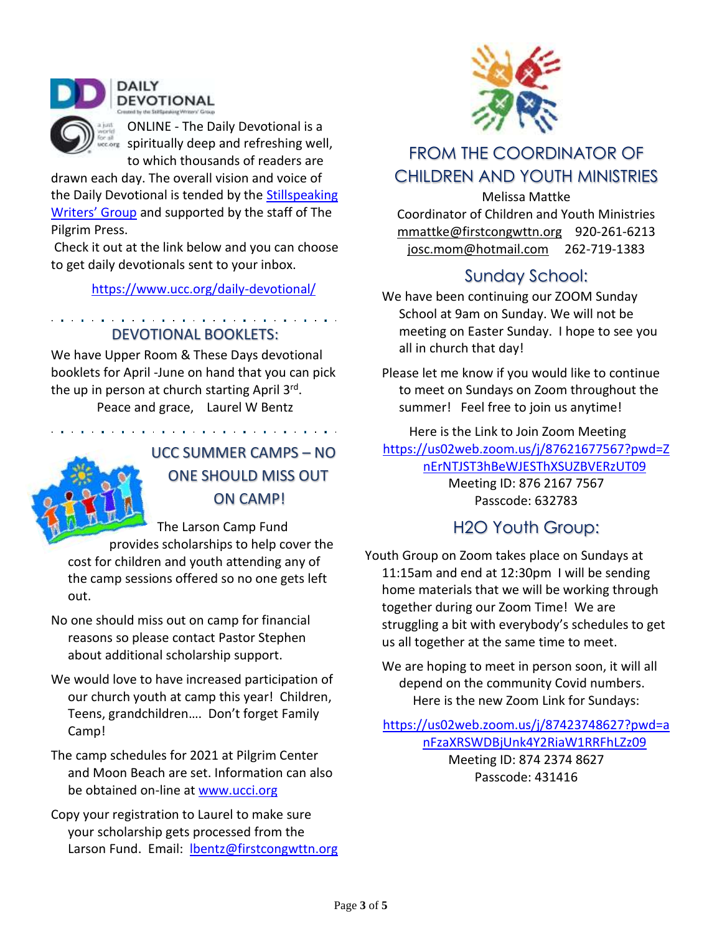

ONLINE - The Daily Devotional is a  $\frac{1}{2}$  spiritually deep and refreshing well, to which thousands of readers are

drawn each day. The overall vision and voice of the Daily Devotional is tended by the Stillspeaking [Writers' Gro](https://www.ucc.org/stillspeaking-writers/)up and supported by the staff of The Pilgrim Press.

Check it out at the link below and you can choose to get daily devotionals sent to your inbox.

https://www.ucc.org/daily-devotional/

DEVOTIONAL BOOKLETS:

 $\mathbf{r} = \mathbf{r} + \mathbf{r} + \mathbf{r} + \mathbf{r} + \mathbf{r} + \mathbf{r} + \mathbf{r} + \mathbf{r} + \mathbf{r} + \mathbf{r} + \mathbf{r} + \mathbf{r} + \mathbf{r} + \mathbf{r} + \mathbf{r} + \mathbf{r} + \mathbf{r} + \mathbf{r} + \mathbf{r} + \mathbf{r} + \mathbf{r} + \mathbf{r} + \mathbf{r} + \mathbf{r} + \mathbf{r} + \mathbf{r} + \mathbf{r} + \mathbf{r} + \mathbf{r} + \mathbf{r} + \mathbf$ 

We have Upper Room & These Days devotional booklets for April -June on hand that you can pick the up in person at church starting April 3<sup>rd</sup>.

Peace and grace, Laurel W Bentz

والمتواصل والمتمام والمتعاونة والمتمام والمتماز والمتماز والمتماز والمتماز والمناور



### UCC SUMMER CAMPS – NO ONE SHOULD MISS OUT ON CAMP!

The Larson Camp Fund provides scholarships to help cover the cost for children and youth attending any of the camp sessions offered so no one gets left out.

No one should miss out on camp for financial reasons so please contact Pastor Stephen about additional scholarship support.

- We would love to have increased participation of our church youth at camp this year! Children, Teens, grandchildren…. Don't forget Family Camp!
- The camp schedules for 2021 at Pilgrim Center and Moon Beach are set. Information can also be obtained on-line at [www.ucci.org](http://www.ucci.org/)
- Copy your registration to Laurel to make sure your scholarship gets processed from the Larson Fund. Email: **Ibentz@firstcongwttn.org**



### FROM THE COORDINATOR OF CHILDREN AND YOUTH MINISTRIES

Melissa Mattke Coordinator of Children and Youth Ministries [mmattke@firstcongwttn.org](mailto:mmattke@firstcongwttn.org) 920-261-6213 [josc.mom@hotmail.com](mailto:josc.mom@hotmail.com) 262-719-1383

### Sunday School:

We have been continuing our ZOOM Sunday School at 9am on Sunday. We will not be meeting on Easter Sunday. I hope to see you all in church that day!

Please let me know if you would like to continue to meet on Sundays on Zoom throughout the summer! Feel free to join us anytime!

Here is the Link to Join Zoom Meeting [https://us02web.zoom.us/j/87621677567?pwd=Z](https://us02web.zoom.us/j/87621677567?pwd=ZnErNTJST3hBeWJESThXSUZBVERzUT09) [nErNTJST3hBeWJESThXSUZBVERzUT09](https://us02web.zoom.us/j/87621677567?pwd=ZnErNTJST3hBeWJESThXSUZBVERzUT09) Meeting ID: 876 2167 7567

Passcode: 632783

### H2O Youth Group:

Youth Group on Zoom takes place on Sundays at 11:15am and end at 12:30pm I will be sending home materials that we will be working through together during our Zoom Time! We are struggling a bit with everybody's schedules to get us all together at the same time to meet.

We are hoping to meet in person soon, it will all depend on the community Covid numbers. Here is the new Zoom Link for Sundays:

[https://us02web.zoom.us/j/87423748627?pwd=a](https://us02web.zoom.us/j/87423748627?pwd=anFzaXRSWDBjUnk4Y2RiaW1RRFhLZz09) [nFzaXRSWDBjUnk4Y2RiaW1RRFhLZz09](https://us02web.zoom.us/j/87423748627?pwd=anFzaXRSWDBjUnk4Y2RiaW1RRFhLZz09)

Meeting ID: 874 2374 8627 Passcode: 431416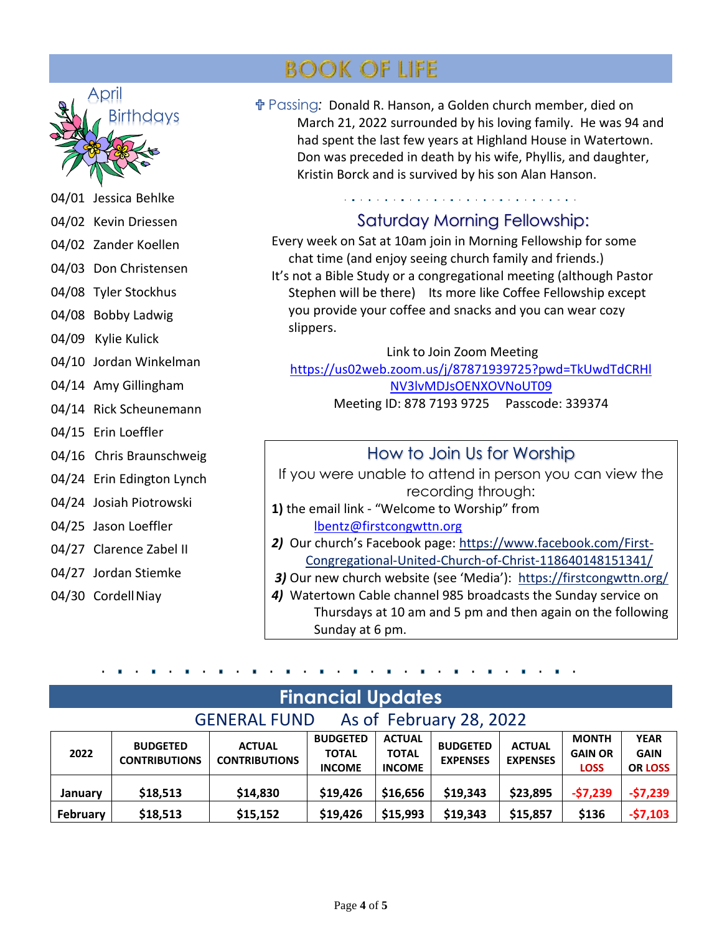

- 04/01 Jessica Behlke
- 04/02 Kevin Driessen
- 04/02 Zander Koellen
- 04/03 Don Christensen
- 04/08 Tyler Stockhus
- 04/08 Bobby Ladwig
- 04/09 Kylie Kulick
- 04/10 Jordan Winkelman
- 04/14 Amy Gillingham
- 04/14 Rick Scheunemann
- 04/15 Erin Loeffler
- 04/16 Chris Braunschweig
- 04/24 Erin Edington Lynch
- 04/24 Josiah Piotrowski
- 04/25 Jason Loeffler
- 04/27 Clarence Zabel II
- 04/27 Jordan Stiemke
- 04/30 Cordell Niay

## **BOOK OF LIFE**

 Passing*:* Donald R. Hanson, a Golden church member, died on March 21, 2022 surrounded by his loving family. He was 94 and had spent the last few years at Highland House in Watertown. Don was preceded in death by his wife, Phyllis, and daughter, Kristin Borck and is survived by his son Alan Hanson.

### Saturday Morning Fellowship:

Every week on Sat at 10am join in Morning Fellowship for some chat time (and enjoy seeing church family and friends.) It's not a Bible Study or a congregational meeting (although Pastor Stephen will be there) Its more like Coffee Fellowship except you provide your coffee and snacks and you can wear cozy slippers.

Link to Join Zoom Meeting [https://us02web.zoom.us/j/87871939725?pwd=TkUwdTdCRHl](https://us02web.zoom.us/j/87871939725?pwd=TkUwdTdCRHlNV3lvMDJsOENXOVNoUT09) [NV3lvMDJsOENXOVNoUT09](https://us02web.zoom.us/j/87871939725?pwd=TkUwdTdCRHlNV3lvMDJsOENXOVNoUT09)

Meeting ID: 878 7193 9725 Passcode: 339374

### How to Join Us for Worship

If you were unable to attend in person you can view the recording through:

- **1)** the email link "Welcome to Worship" from [lbentz@firstcongwttn.org](mailto:lbentz@firstcongwttn.org)
- *2)* Our church's Facebook page: [https://www.facebook.com/First-](https://www.facebook.com/First-Congregational-United-Church-of-Christ-118640148151341/)[Congregational-United-Church-of-Christ-118640148151341/](https://www.facebook.com/First-Congregational-United-Church-of-Christ-118640148151341/)
- *3)* Our new church website (see 'Media'): <https://firstcongwttn.org/>
- *4)* Watertown Cable channel 985 broadcasts the Sunday service on Thursdays at 10 am and 5 pm and then again on the following Sunday at 6 pm.

| <b>Financial Updates</b>                       |                                         |                                       |                                                  |                                                |                                    |                                  |                                               |                                              |  |  |  |  |
|------------------------------------------------|-----------------------------------------|---------------------------------------|--------------------------------------------------|------------------------------------------------|------------------------------------|----------------------------------|-----------------------------------------------|----------------------------------------------|--|--|--|--|
| As of February 28, 2022<br><b>GENERAL FUND</b> |                                         |                                       |                                                  |                                                |                                    |                                  |                                               |                                              |  |  |  |  |
| 2022                                           | <b>BUDGETED</b><br><b>CONTRIBUTIONS</b> | <b>ACTUAL</b><br><b>CONTRIBUTIONS</b> | <b>BUDGETED</b><br><b>TOTAL</b><br><b>INCOME</b> | <b>ACTUAL</b><br><b>TOTAL</b><br><b>INCOME</b> | <b>BUDGETED</b><br><b>EXPENSES</b> | <b>ACTUAL</b><br><b>EXPENSES</b> | <b>MONTH</b><br><b>GAIN OR</b><br><b>LOSS</b> | <b>YEAR</b><br><b>GAIN</b><br><b>OR LOSS</b> |  |  |  |  |
| January                                        | \$18,513                                | \$14,830                              | \$19,426                                         | \$16,656                                       | \$19,343                           | \$23,895                         | $-57,239$                                     | $-57,239$                                    |  |  |  |  |
| February                                       | \$18,513                                | \$15,152                              | \$19,426                                         | \$15,993                                       | \$19,343                           | \$15,857                         | \$136                                         | $-57,103$                                    |  |  |  |  |